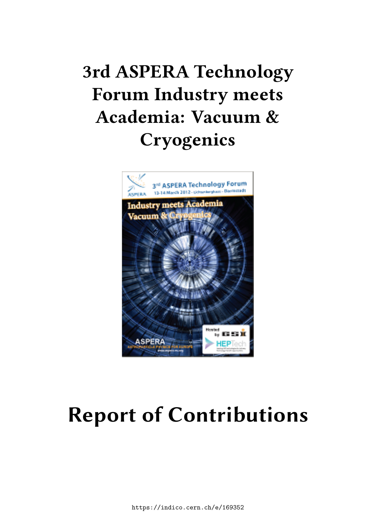# **3rd ASPERA Technology Forum Industry meets Academia: Vacuum & Cryogenics**



# **Report of Contributions**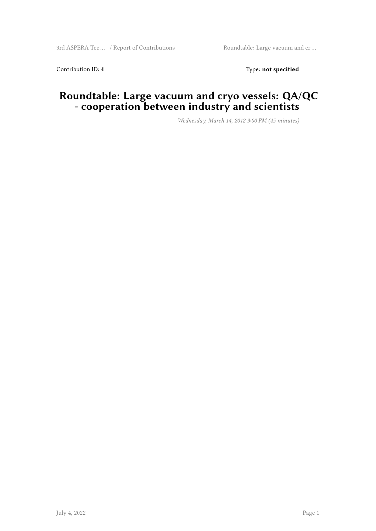Contribution ID: 4 Type: **not specified** 

#### **Roundtable: Large vacuum and cryo vessels: QA/QC - cooperation between industry and scientists**

*Wednesday, March 14, 2012 3:00 PM (45 minutes)*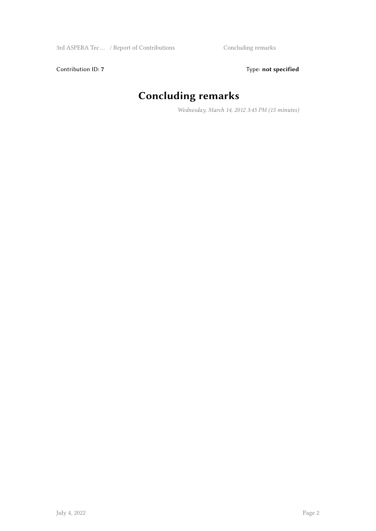Contribution ID: 7 Type: **not specified** 

# **Concluding remarks**

*Wednesday, March 14, 2012 3:45 PM (15 minutes)*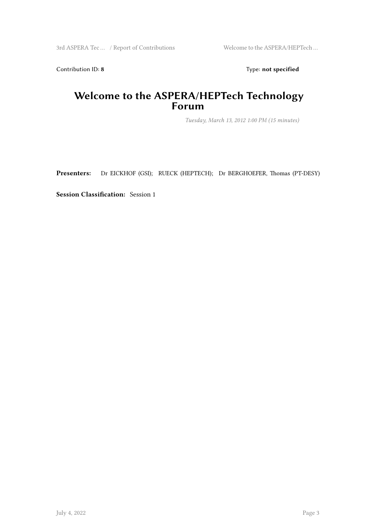Contribution ID: 8 Type: **not specified** 

#### **Welcome to the ASPERA/HEPTech Technology Forum**

*Tuesday, March 13, 2012 1:00 PM (15 minutes)*

**Presenters:** Dr EICKHOF (GSI); RUECK (HEPTECH); Dr BERGHOEFER, Thomas (PT-DESY)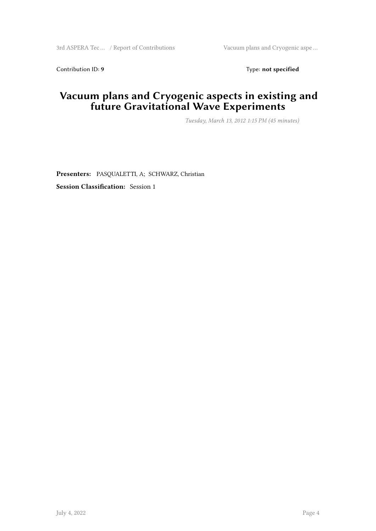Contribution ID: 9 Type: **not specified** 

#### **Vacuum plans and Cryogenic aspects in existing and future Gravitational Wave Experiments**

*Tuesday, March 13, 2012 1:15 PM (45 minutes)*

**Presenters:** PASQUALETTI, A; SCHWARZ, Christian **Session Classification:** Session 1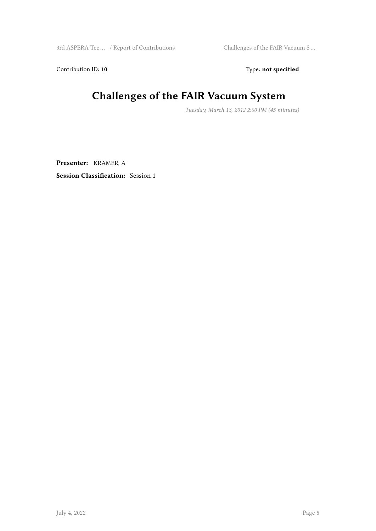Contribution ID: 10 **Type:** not specified

# **Challenges of the FAIR Vacuum System**

*Tuesday, March 13, 2012 2:00 PM (45 minutes)*

**Presenter:** KRAMER, A **Session Classification:** Session 1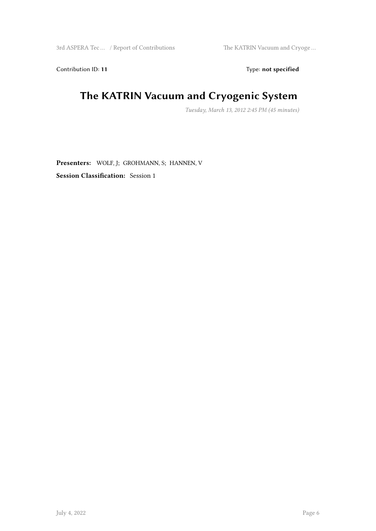Contribution ID: 11 Type: **not specified** 

#### **The KATRIN Vacuum and Cryogenic System**

*Tuesday, March 13, 2012 2:45 PM (45 minutes)*

**Presenters:** WOLF, J; GROHMANN, S; HANNEN, V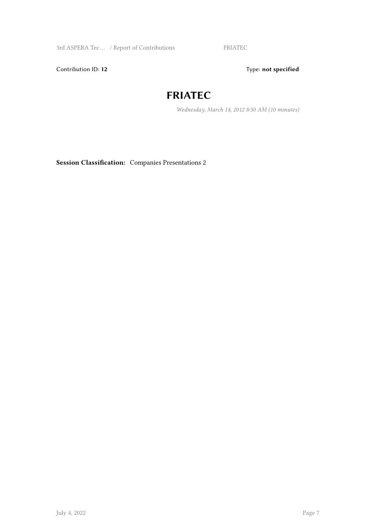3rd ASPERA Tec ... / Report of Contributions FRIATEC

Contribution ID: 12 Type: **not specified** 

#### **FRIATEC**

*Wednesday, March 14, 2012 8:50 AM (10 minutes)*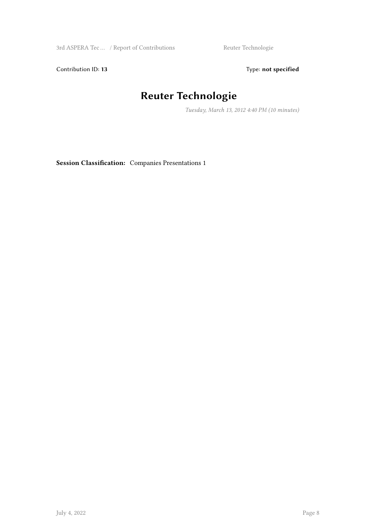3rd ASPERA Tec ... / Report of Contributions Reuter Technologie

Contribution ID: 13 Type: **not specified** 

## **Reuter Technologie**

*Tuesday, March 13, 2012 4:40 PM (10 minutes)*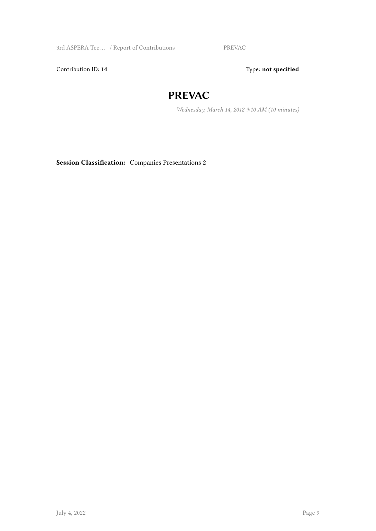3rd ASPERA Tec … / Report of Contributions PREVAC

Contribution ID: 14 Type: **not specified** 

#### **PREVAC**

*Wednesday, March 14, 2012 9:10 AM (10 minutes)*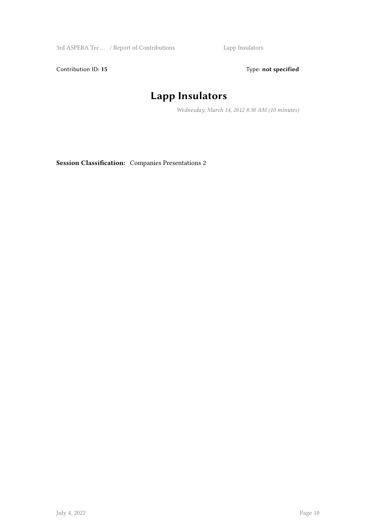3rd ASPERA Tec … / Report of Contributions Lapp Insulators

Contribution ID: 15 Type: **not specified** 

## **Lapp Insulators**

*Wednesday, March 14, 2012 8:30 AM (10 minutes)*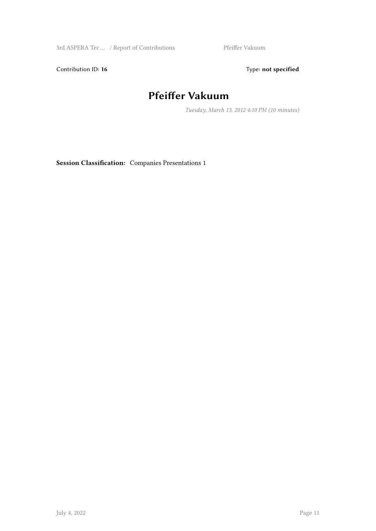3rd ASPERA Tec ... / Report of Contributions Pfeiffer Vakuum

Contribution ID: 16 Type: not specified

## **Pfeiffer Vakuum**

*Tuesday, March 13, 2012 4:10 PM (10 minutes)*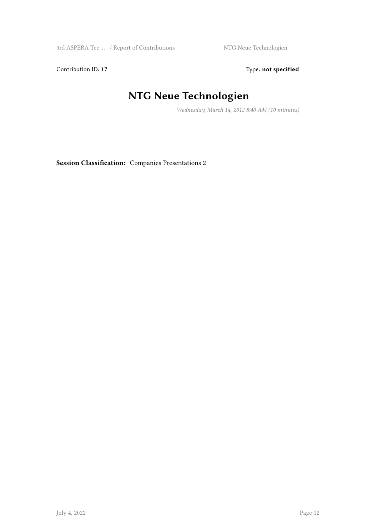Contribution ID: 17 Type: **not specified** 

# **NTG Neue Technologien**

*Wednesday, March 14, 2012 8:40 AM (10 minutes)*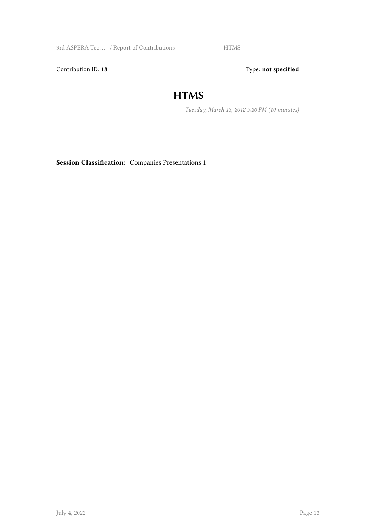3rd ASPERA Tec ... / Report of Contributions HTMS

Contribution ID: 18 Type: not specified

#### **HTMS**

*Tuesday, March 13, 2012 5:20 PM (10 minutes)*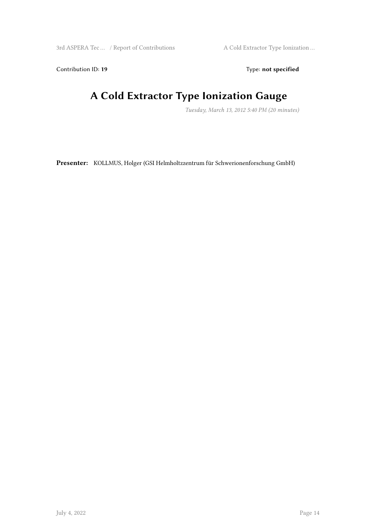Contribution ID: 19 Type: not specified

# **A Cold Extractor Type Ionization Gauge**

*Tuesday, March 13, 2012 5:40 PM (20 minutes)*

**Presenter:** KOLLMUS, Holger (GSI Helmholtzzentrum für Schwerionenforschung GmbH)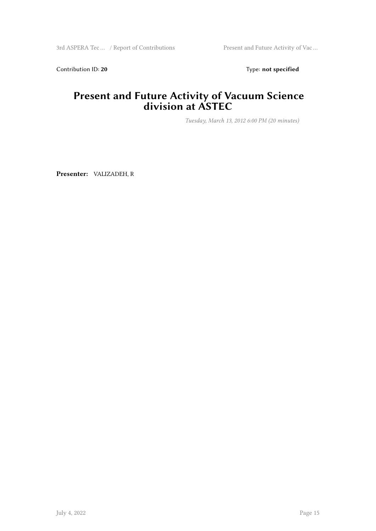Contribution ID: 20 Type: **not specified** 

#### **Present and Future Activity of Vacuum Science division at ASTEC**

*Tuesday, March 13, 2012 6:00 PM (20 minutes)*

**Presenter:** VALIZADEH, R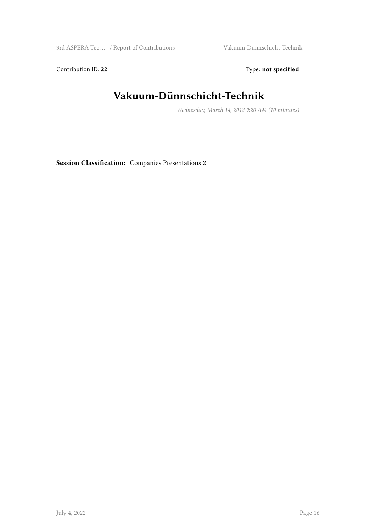Contribution ID: 22 Type: **not specified** 

# **Vakuum-Dünnschicht-Technik**

*Wednesday, March 14, 2012 9:20 AM (10 minutes)*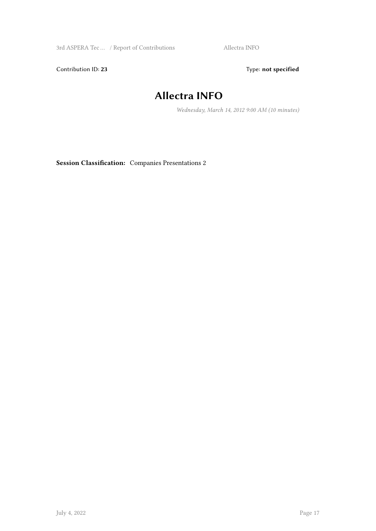3rd ASPERA Tec ... / Report of Contributions Allectra INFO

Contribution ID: 23 Type: **not specified** 

## **Allectra INFO**

*Wednesday, March 14, 2012 9:00 AM (10 minutes)*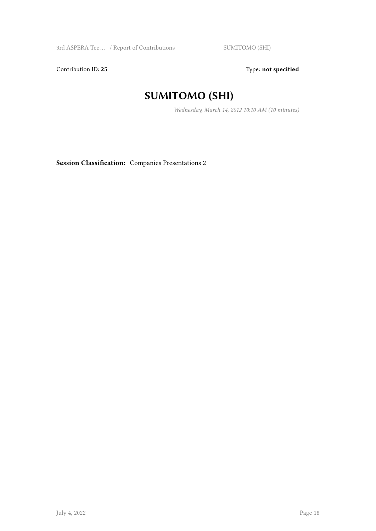Contribution ID: 25 Type: **not specified** 

## **SUMITOMO (SHI)**

*Wednesday, March 14, 2012 10:10 AM (10 minutes)*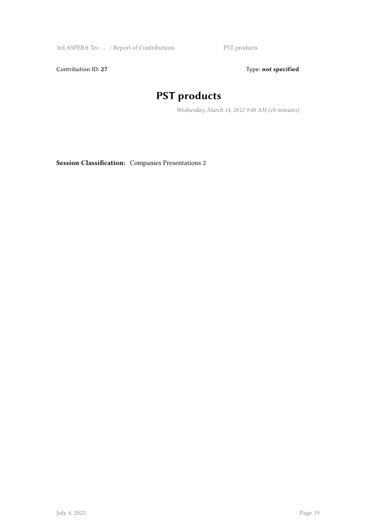Contribution ID: 27 Type: **not specified** 

## **PST products**

*Wednesday, March 14, 2012 9:40 AM (10 minutes)*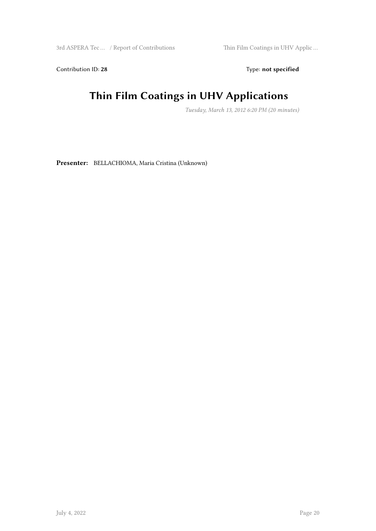Contribution ID: 28 Type: **not specified** 

# **Thin Film Coatings in UHV Applications**

*Tuesday, March 13, 2012 6:20 PM (20 minutes)*

**Presenter:** BELLACHIOMA, Maria Cristina (Unknown)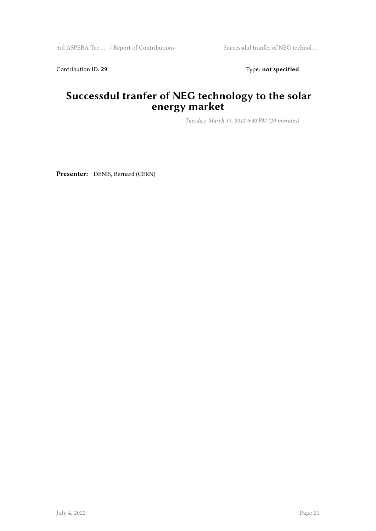Contribution ID: 29 Type: **not specified** 

#### **Successdul tranfer of NEG technology to the solar energy market**

*Tuesday, March 13, 2012 6:40 PM (20 minutes)*

**Presenter:** DENIS, Bernard (CERN)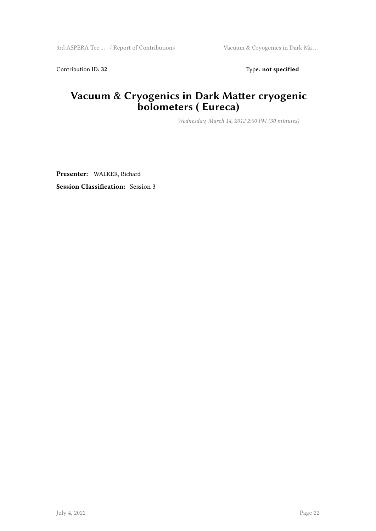Contribution ID: 32 Type: **not specified** 

#### **Vacuum & Cryogenics in Dark Matter cryogenic bolometers ( Eureca)**

*Wednesday, March 14, 2012 2:00 PM (30 minutes)*

**Presenter:** WALKER, Richard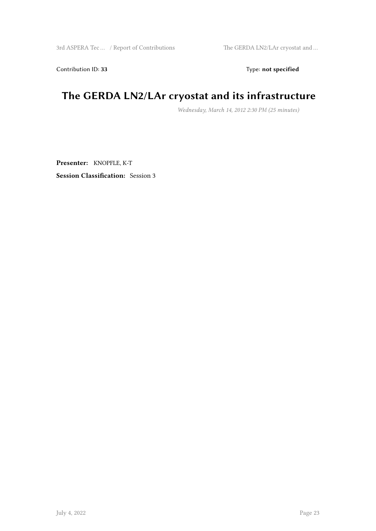Contribution ID: 33 Type: **not specified** 

# **The GERDA LN2/LAr cryostat and its infrastructure**

*Wednesday, March 14, 2012 2:30 PM (25 minutes)*

**Presenter:** KNOPFLE, K-T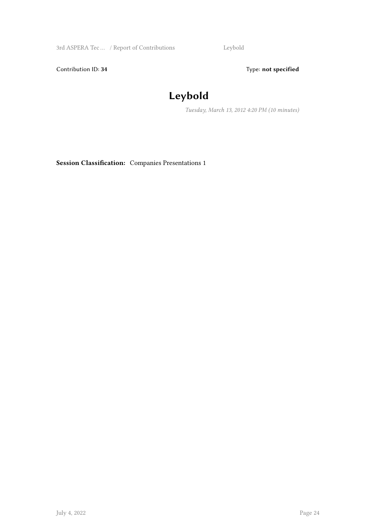3rd ASPERA Tec … / Report of Contributions Leybold

Contribution ID: 34 Type: **not specified** 

# **Leybold**

*Tuesday, March 13, 2012 4:20 PM (10 minutes)*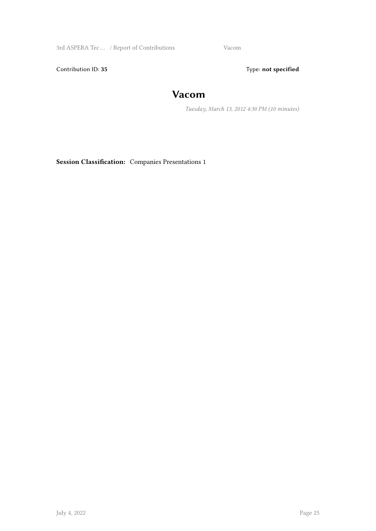3rd ASPERA Tec … / Report of Contributions Vacom

Contribution ID: 35 Type: **not specified** 

#### **Vacom**

*Tuesday, March 13, 2012 4:30 PM (10 minutes)*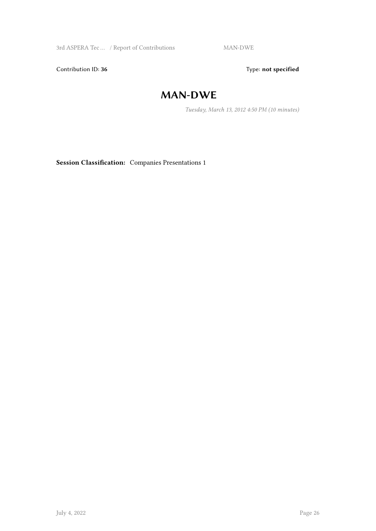3rd ASPERA Tec ... / Report of Contributions MAN-DWE

Contribution ID: 36 Type: **not specified** 

#### **MAN-DWE**

*Tuesday, March 13, 2012 4:50 PM (10 minutes)*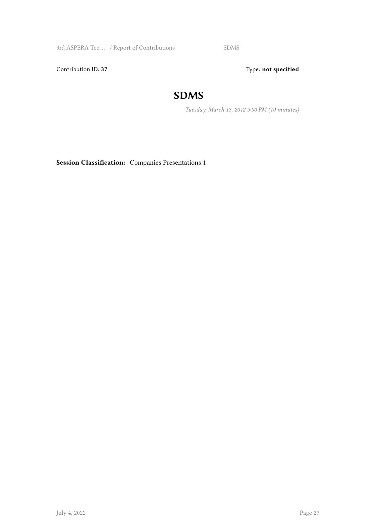3rd ASPERA Tec ... / Report of Contributions SDMS

Contribution ID: 37 Type: **not specified** 

#### **SDMS**

*Tuesday, March 13, 2012 5:00 PM (10 minutes)*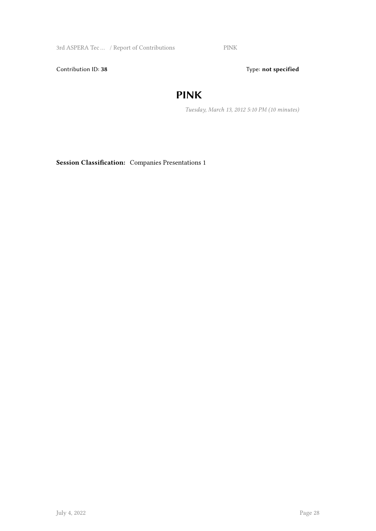3rd ASPERA Tec ... / Report of Contributions PINK

Contribution ID: 38 Type: **not specified** 

#### **PINK**

*Tuesday, March 13, 2012 5:10 PM (10 minutes)*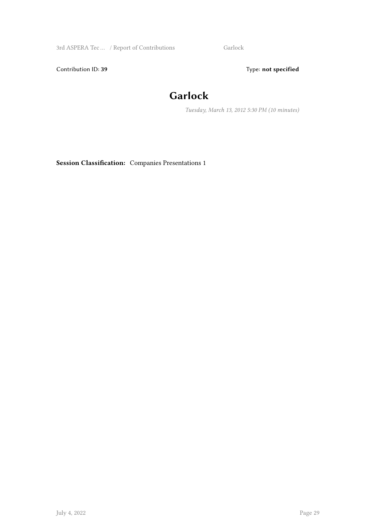3rd ASPERA Tec ... / Report of Contributions Garlock

Contribution ID: 39 Type: **not specified** 

# **Garlock**

*Tuesday, March 13, 2012 5:30 PM (10 minutes)*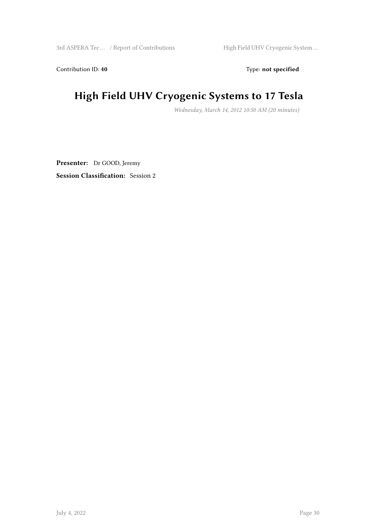Contribution ID: 40 **Type:** not specified

# **High Field UHV Cryogenic Systems to 17 Tesla**

*Wednesday, March 14, 2012 10:50 AM (20 minutes)*

**Presenter:** Dr GOOD, Jeremy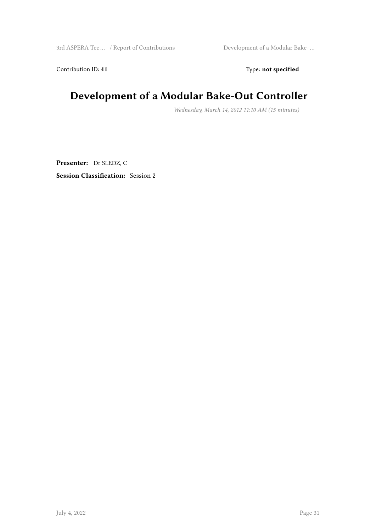Contribution ID: 41 Type: **not specified** 

## **Development of a Modular Bake-Out Controller**

*Wednesday, March 14, 2012 11:10 AM (15 minutes)*

**Presenter:** Dr SLEDZ, C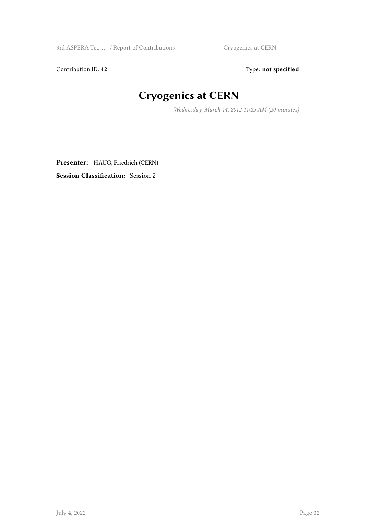Contribution ID: 42 Type: **not specified** 

# **Cryogenics at CERN**

*Wednesday, March 14, 2012 11:25 AM (20 minutes)*

**Presenter:** HAUG, Friedrich (CERN)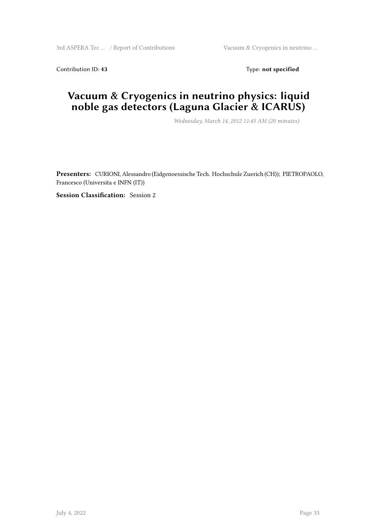Contribution ID: 43 Type: **not specified** 

#### **Vacuum & Cryogenics in neutrino physics: liquid noble gas detectors (Laguna Glacier & ICARUS)**

*Wednesday, March 14, 2012 11:45 AM (20 minutes)*

**Presenters:** CURIONI, Alessandro (Eidgenoessische Tech. Hochschule Zuerich (CH)); PIETROPAOLO, Francesco (Universita e INFN (IT))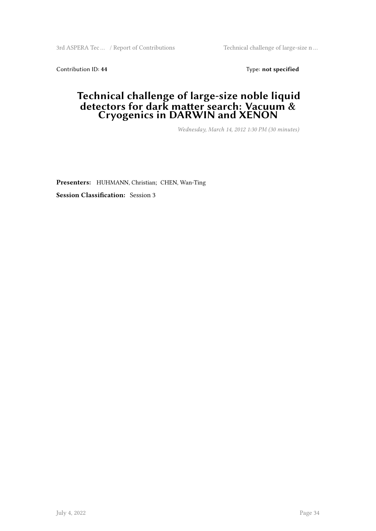3rd ASPERA Tec … / Report of Contributions Technical challenge of large-size n …

Contribution ID: 44 Type: **not specified** 

#### **Technical challenge of large-size noble liquid detectors for dark matter search: Vacuum & Cryogenics in DARWIN and XENON**

*Wednesday, March 14, 2012 1:30 PM (30 minutes)*

**Presenters:** HUHMANN, Christian; CHEN, Wan-Ting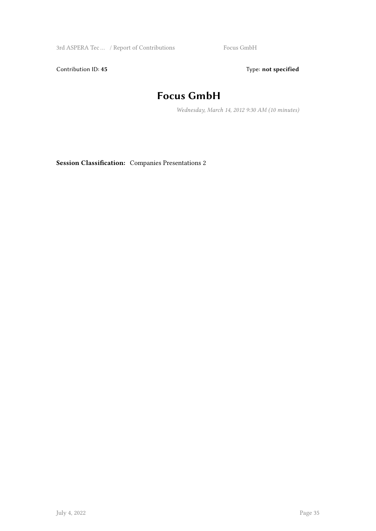3rd ASPERA Tec ... / Report of Contributions Focus GmbH

Contribution ID: 45 Type: **not specified** 

## **Focus GmbH**

*Wednesday, March 14, 2012 9:30 AM (10 minutes)*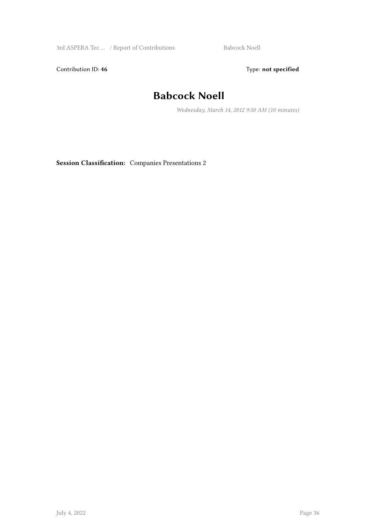3rd ASPERA Tec ... / Report of Contributions Babcock Noell

Contribution ID: 46 Type: **not specified** 

#### **Babcock Noell**

*Wednesday, March 14, 2012 9:50 AM (10 minutes)*